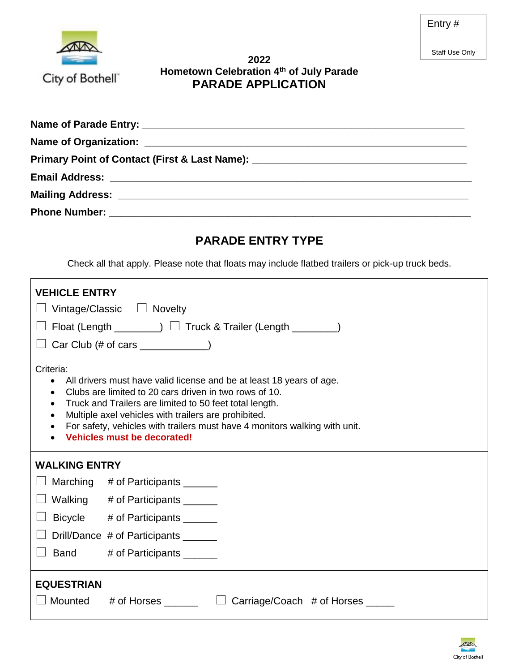Staff Use Only



## **2022 Hometown Celebration 4th of July Parade PARADE APPLICATION**

| Primary Point of Contact (First & Last Name): __________________________________ |  |
|----------------------------------------------------------------------------------|--|
|                                                                                  |  |
|                                                                                  |  |
|                                                                                  |  |

# **PARADE ENTRY TYPE**

Check all that apply. Please note that floats may include flatbed trailers or pick-up truck beds.

| <b>VEHICLE ENTRY</b>                                                                                                                                                                                                                                                                                                                                                                                                                         | Vintage/Classic $\Box$ Novelty<br>Float (Length $\rule{1em}{0.15mm}$ $\rule{1.15mm}{0.15mm}$ Truck & Trailer (Length $\rule{1.15mm}{0.15mm}$ )<br>Car Club $(\# \text{ of cars } \_\_\_\_\_\_\_\$ |  |
|----------------------------------------------------------------------------------------------------------------------------------------------------------------------------------------------------------------------------------------------------------------------------------------------------------------------------------------------------------------------------------------------------------------------------------------------|---------------------------------------------------------------------------------------------------------------------------------------------------------------------------------------------------|--|
| Criteria:<br>All drivers must have valid license and be at least 18 years of age.<br>$\bullet$<br>Clubs are limited to 20 cars driven in two rows of 10.<br>$\bullet$<br>Truck and Trailers are limited to 50 feet total length.<br>$\bullet$<br>Multiple axel vehicles with trailers are prohibited.<br>$\bullet$<br>For safety, vehicles with trailers must have 4 monitors walking with unit.<br>$\bullet$<br>Vehicles must be decorated! |                                                                                                                                                                                                   |  |
| <b>WALKING ENTRY</b>                                                                                                                                                                                                                                                                                                                                                                                                                         |                                                                                                                                                                                                   |  |
|                                                                                                                                                                                                                                                                                                                                                                                                                                              | Marching # of Participants _______                                                                                                                                                                |  |
|                                                                                                                                                                                                                                                                                                                                                                                                                                              | Walking # of Participants ______                                                                                                                                                                  |  |
|                                                                                                                                                                                                                                                                                                                                                                                                                                              | Bicycle # of Participants ______                                                                                                                                                                  |  |
|                                                                                                                                                                                                                                                                                                                                                                                                                                              | Drill/Dance # of Participants ______                                                                                                                                                              |  |
| <b>Band</b>                                                                                                                                                                                                                                                                                                                                                                                                                                  | # of Participants ______                                                                                                                                                                          |  |
| <b>EQUESTRIAN</b>                                                                                                                                                                                                                                                                                                                                                                                                                            |                                                                                                                                                                                                   |  |
|                                                                                                                                                                                                                                                                                                                                                                                                                                              | Mounted # of Horses<br>Carriage/Coach # of Horses _____                                                                                                                                           |  |